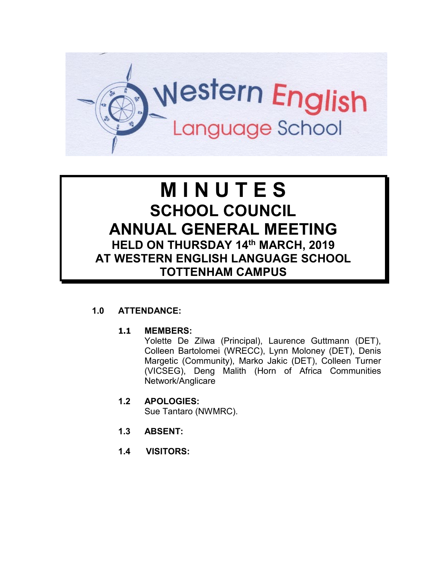

# **M I N U T E S SCHOOL COUNCIL ANNUAL GENERAL MEETING HELD ON THURSDAY 14th MARCH, 2019 AT WESTERN ENGLISH LANGUAGE SCHOOL TOTTENHAM CAMPUS**

# **1.0 ATTENDANCE:**

#### **1.1 MEMBERS:**

Yolette De Zilwa (Principal), Laurence Guttmann (DET), Colleen Bartolomei (WRECC), Lynn Moloney (DET), Denis Margetic (Community), Marko Jakic (DET), Colleen Turner (VICSEG), Deng Malith (Horn of Africa Communities Network/Anglicare

- **1.2 APOLOGIES:** Sue Tantaro (NWMRC).
- **1.3 ABSENT:**
- **1.4 VISITORS:**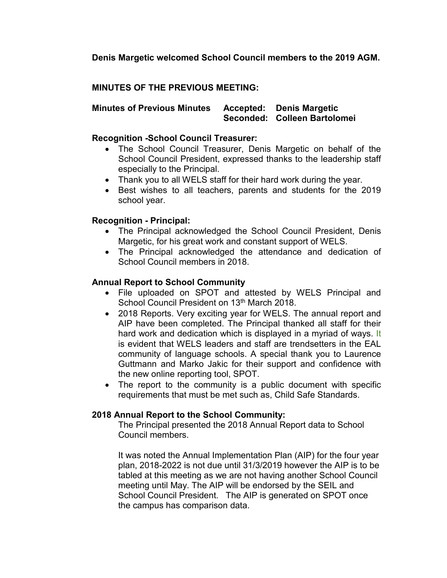**Denis Margetic welcomed School Council members to the 2019 AGM.** 

## **MINUTES OF THE PREVIOUS MEETING:**

**Minutes of Previous Minutes Accepted: Denis Margetic Seconded: Colleen Bartolomei**

### **Recognition -School Council Treasurer:**

- The School Council Treasurer, Denis Margetic on behalf of the School Council President, expressed thanks to the leadership staff especially to the Principal.
- Thank you to all WELS staff for their hard work during the year.
- Best wishes to all teachers, parents and students for the 2019 school year.

## **Recognition - Principal:**

- The Principal acknowledged the School Council President, Denis Margetic, for his great work and constant support of WELS.
- The Principal acknowledged the attendance and dedication of School Council members in 2018.

# **Annual Report to School Community**

- File uploaded on SPOT and attested by WELS Principal and School Council President on 13<sup>th</sup> March 2018.
- 2018 Reports. Very exciting year for WELS. The annual report and AIP have been completed. The Principal thanked all staff for their hard work and dedication which is displayed in a myriad of ways. It is evident that WELS leaders and staff are trendsetters in the EAL community of language schools. A special thank you to Laurence Guttmann and Marko Jakic for their support and confidence with the new online reporting tool, SPOT.
- The report to the community is a public document with specific requirements that must be met such as, Child Safe Standards.

# **2018 Annual Report to the School Community:**

The Principal presented the 2018 Annual Report data to School Council members.

It was noted the Annual Implementation Plan (AIP) for the four year plan, 2018-2022 is not due until 31/3/2019 however the AIP is to be tabled at this meeting as we are not having another School Council meeting until May. The AIP will be endorsed by the SEIL and School Council President. The AIP is generated on SPOT once the campus has comparison data.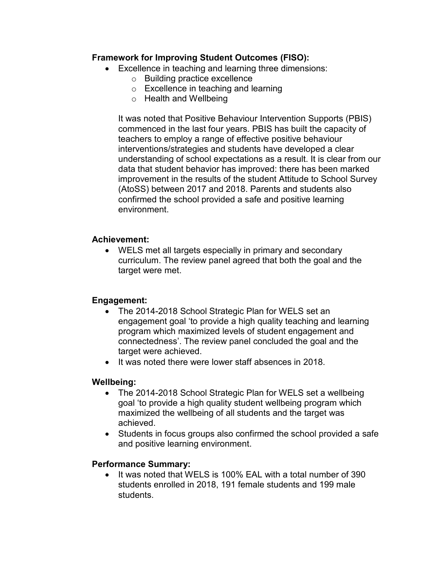## **Framework for Improving Student Outcomes (FISO):**

- Excellence in teaching and learning three dimensions:
	- o Building practice excellence
	- o Excellence in teaching and learning
	- o Health and Wellbeing

It was noted that Positive Behaviour Intervention Supports (PBIS) commenced in the last four years. PBIS has built the capacity of teachers to employ a range of effective positive behaviour interventions/strategies and students have developed a clear understanding of school expectations as a result. It is clear from our data that student behavior has improved: there has been marked improvement in the results of the student Attitude to School Survey (AtoSS) between 2017 and 2018. Parents and students also confirmed the school provided a safe and positive learning environment.

# **Achievement:**

• WELS met all targets especially in primary and secondary curriculum. The review panel agreed that both the goal and the target were met.

#### **Engagement:**

- The 2014-2018 School Strategic Plan for WELS set an engagement goal 'to provide a high quality teaching and learning program which maximized levels of student engagement and connectedness'. The review panel concluded the goal and the target were achieved.
- It was noted there were lower staff absences in 2018.

#### **Wellbeing:**

- The 2014-2018 School Strategic Plan for WELS set a wellbeing goal 'to provide a high quality student wellbeing program which maximized the wellbeing of all students and the target was achieved.
- Students in focus groups also confirmed the school provided a safe and positive learning environment.

#### **Performance Summary:**

• It was noted that WELS is 100% EAL with a total number of 390 students enrolled in 2018, 191 female students and 199 male students.